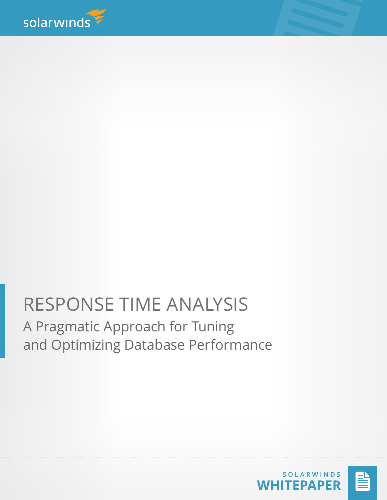

# RESPONSE TIME ANALYSIS A Pragmatic Approach for Tuning and Optimizing Database Performance

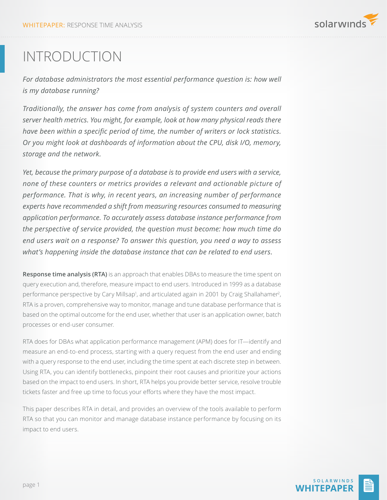

## INTRODUCTION

*For database administrators the most essential performance question is: how well is my database running?* 

*Traditionally, the answer has come from analysis of system counters and overall server health metrics. You might, for example, look at how many physical reads there have been within a specific period of time, the number of writers or lock statistics. Or you might look at dashboards of information about the CPU, disk I/O, memory, storage and the network.* 

*Yet, because the primary purpose of a database is to provide end users with a service, none of these counters or metrics provides a relevant and actionable picture of performance. That is why, in recent years, an increasing number of performance experts have recommended a shift from measuring resources consumed to measuring application performance. To accurately assess database instance performance from the perspective of service provided, the question must become: how much time do end users wait on a response? To answer this question, you need a way to assess what's happening inside the database instance that can be related to end users.*

**Response time analysis (RTA)** is an approach that enables DBAs to measure the time spent on query execution and, therefore, measure impact to end users. Introduced in 1999 as a database performance perspective by Cary Millsap<sup>1</sup>, and articulated again in 2001 by Craig Shallahamer<sup>2</sup>, RTA is a proven, comprehensive way to monitor, manage and tune database performance that is based on the optimal outcome for the end user, whether that user is an application owner, batch processes or end-user consumer.

RTA does for DBAs what application performance management (APM) does for IT—identify and measure an end-to-end process, starting with a query request from the end user and ending with a query response to the end user, including the time spent at each discrete step in between. Using RTA, you can identify bottlenecks, pinpoint their root causes and prioritize your actions based on the impact to end users. In short, RTA helps you provide better service, resolve trouble tickets faster and free up time to focus your efforts where they have the most impact.

This paper describes RTA in detail, and provides an overview of the tools available to perform RTA so that you can monitor and manage database instance performance by focusing on its impact to end users.

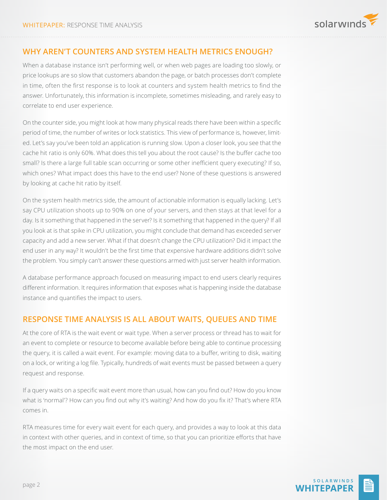

## **WHY AREN'T COUNTERS AND SYSTEM HEALTH METRICS ENOUGH?**

When a database instance isn't performing well, or when web pages are loading too slowly, or price lookups are so slow that customers abandon the page, or batch processes don't complete in time, often the first response is to look at counters and system health metrics to find the answer. Unfortunately, this information is incomplete, sometimes misleading, and rarely easy to correlate to end user experience.

On the counter side, you might look at how many physical reads there have been within a specific period of time, the number of writes or lock statistics. This view of performance is, however, limited. Let's say you've been told an application is running slow. Upon a closer look, you see that the cache hit ratio is only 60%. What does this tell you about the root cause? Is the buffer cache too small? Is there a large full table scan occurring or some other inefficient query executing? If so, which ones? What impact does this have to the end user? None of these questions is answered by looking at cache hit ratio by itself.

On the system health metrics side, the amount of actionable information is equally lacking. Let's say CPU utilization shoots up to 90% on one of your servers, and then stays at that level for a day. Is it something that happened in the server? Is it something that happened in the query? If all you look at is that spike in CPU utilization, you might conclude that demand has exceeded server capacity and add a new server. What if that doesn't change the CPU utilization? Did it impact the end user in any way? It wouldn't be the first time that expensive hardware additions didn't solve the problem. You simply can't answer these questions armed with just server health information.

A database performance approach focused on measuring impact to end users clearly requires different information. It requires information that exposes what is happening inside the database instance and quantifies the impact to users.

## **RESPONSE TIME ANALYSIS IS ALL ABOUT WAITS, QUEUES AND TIME**

At the core of RTA is the wait event or wait type. When a server process or thread has to wait for an event to complete or resource to become available before being able to continue processing the query, it is called a wait event. For example: moving data to a buffer, writing to disk, waiting on a lock, or writing a log file. Typically, hundreds of wait events must be passed between a query request and response.

If a query waits on a specific wait event more than usual, how can you find out? How do you know what is 'normal'? How can you find out why it's waiting? And how do you fix it? That's where RTA comes in.

RTA measures time for every wait event for each query, and provides a way to look at this data in context with other queries, and in context of time, so that you can prioritize efforts that have the most impact on the end user.

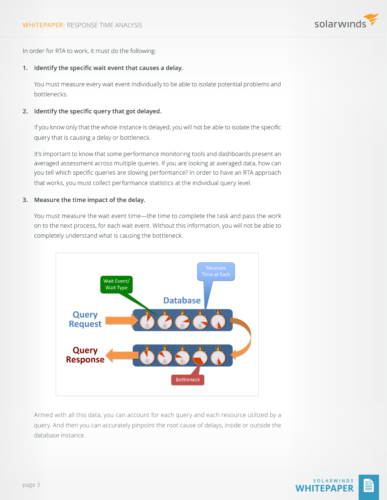

In order for RTA to work, it must do the following:

#### **1. Identify the specific wait event that causes a delay.**

You must measure every wait event individually to be able to isolate potential problems and bottlenecks.

#### **2. Identify the specific query that got delayed.**

If you know only that the whole instance is delayed, you will not be able to isolate the specific query that is causing a delay or bottleneck.

It's important to know that some performance monitoring tools and dashboards present an averaged assessment across multiple queries. If you are looking at averaged data, how can you tell which specific queries are slowing performance? In order to have an RTA approach that works, you must collect performance statistics at the individual query level.

#### **3. Measure the time impact of the delay.**

You must measure the wait event time—the time to complete the task and pass the work on to the next process, for each wait event. Without this information, you will not be able to completely understand what is causing the bottleneck.



Armed with all this data, you can account for each query and each resource utilized by a query. And then you can accurately pinpoint the root cause of delays, inside or outside the database instance.

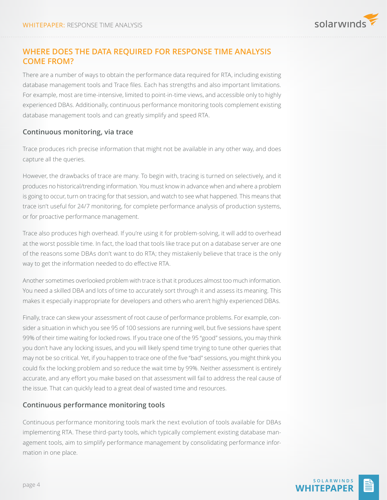

## **WHERE DOES THE DATA REQUIRED FOR RESPONSE TIME ANALYSIS COME FROM?**

There are a number of ways to obtain the performance data required for RTA, including existing database management tools and Trace files. Each has strengths and also important limitations. For example, most are time-intensive, limited to point-in-time views, and accessible only to highly experienced DBAs. Additionally, continuous performance monitoring tools complement existing database management tools and can greatly simplify and speed RTA.

### **Continuous monitoring, via trace**

Trace produces rich precise information that might not be available in any other way, and does capture all the queries.

However, the drawbacks of trace are many. To begin with, tracing is turned on selectively, and it produces no historical/trending information. You must know in advance when and where a problem is going to occur, turn on tracing for that session, and watch to see what happened. This means that trace isn't useful for 24/7 monitoring, for complete performance analysis of production systems, or for proactive performance management.

Trace also produces high overhead. If you're using it for problem-solving, it will add to overhead at the worst possible time. In fact, the load that tools like trace put on a database server are one of the reasons some DBAs don't want to do RTA; they mistakenly believe that trace is the only way to get the information needed to do effective RTA.

Another sometimes overlooked problem with trace is that it produces almost too much information. You need a skilled DBA and lots of time to accurately sort through it and assess its meaning. This makes it especially inappropriate for developers and others who aren't highly experienced DBAs.

Finally, trace can skew your assessment of root cause of performance problems. For example, consider a situation in which you see 95 of 100 sessions are running well, but five sessions have spent 99% of their time waiting for locked rows. If you trace one of the 95 "good" sessions, you may think you don't have any locking issues, and you will likely spend time trying to tune other queries that may not be so critical. Yet, if you happen to trace one of the five "bad" sessions, you might think you could fix the locking problem and so reduce the wait time by 99%. Neither assessment is entirely accurate, and any effort you make based on that assessment will fail to address the real cause of the issue. That can quickly lead to a great deal of wasted time and resources.

### **Continuous performance monitoring tools**

Continuous performance monitoring tools mark the next evolution of tools available for DBAs implementing RTA. These third-party tools, which typically complement existing database management tools, aim to simplify performance management by consolidating performance information in one place.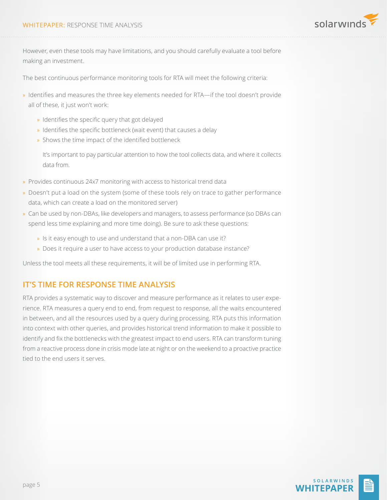

However, even these tools may have limitations, and you should carefully evaluate a tool before making an investment.

The best continuous performance monitoring tools for RTA will meet the following criteria:

- » Identifies and measures the three key elements needed for RTA—if the tool doesn't provide all of these, it just won't work:
	- » Identifies the specific query that got delayed
	- » Identifies the specific bottleneck (wait event) that causes a delay
	- » Shows the time impact of the identified bottleneck

It's important to pay particular attention to how the tool collects data, and where it collects data from.

- » Provides continuous 24x7 monitoring with access to historical trend data
- » Doesn't put a load on the system (some of these tools rely on trace to gather performance data, which can create a load on the monitored server)
- » Can be used by non-DBAs, like developers and managers, to assess performance (so DBAs can spend less time explaining and more time doing). Be sure to ask these questions:
	- » Is it easy enough to use and understand that a non-DBA can use it?
	- » Does it require a user to have access to your production database instance?

Unless the tool meets all these requirements, it will be of limited use in performing RTA.

## **IT'S TIME FOR RESPONSE TIME ANALYSIS**

RTA provides a systematic way to discover and measure performance as it relates to user experience. RTA measures a query end to end, from request to response, all the waits encountered in between, and all the resources used by a query during processing. RTA puts this information into context with other queries, and provides historical trend information to make it possible to identify and fix the bottlenecks with the greatest impact to end users. RTA can transform tuning from a reactive process done in crisis mode late at night or on the weekend to a proactive practice tied to the end users it serves.